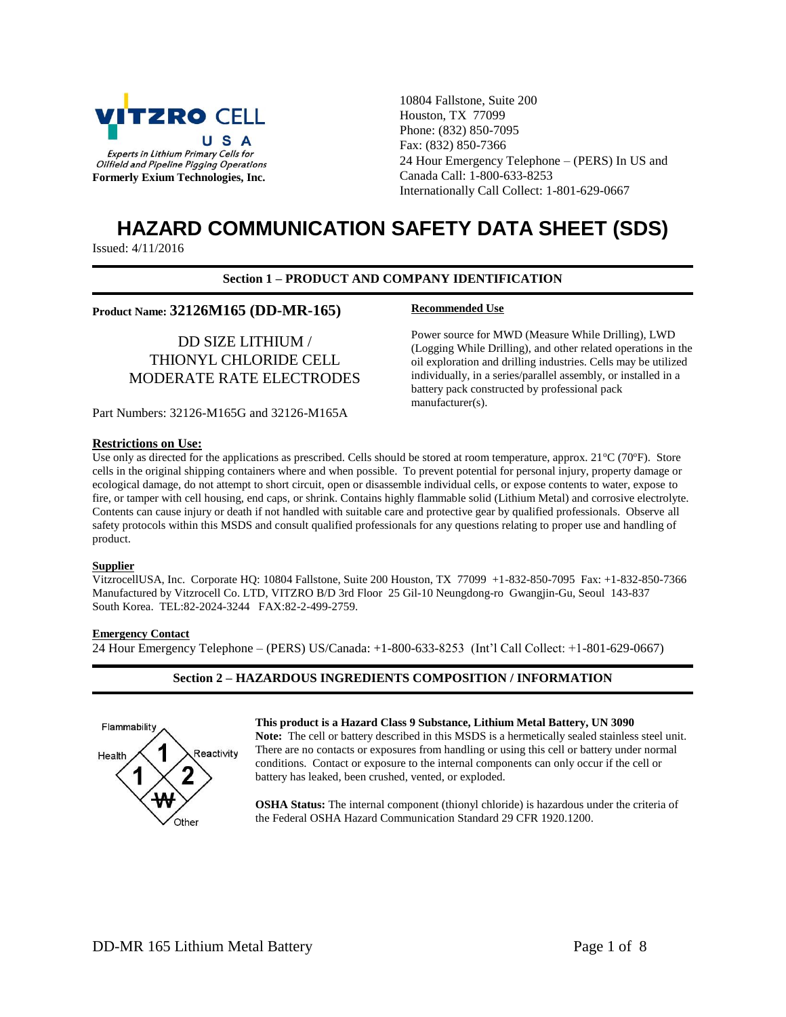

10804 Fallstone, Suite 200 Houston, TX 77099 Phone: (832) 850-7095 Fax: (832) 850-7366 24 Hour Emergency Telephone – (PERS) In US and Canada Call: 1-800-633-8253 Internationally Call Collect: 1-801-629-0667

# **HAZARD COMMUNICATION SAFETY DATA SHEET (SDS)**

Issued: 4/11/2016

## **Section 1 – PRODUCT AND COMPANY IDENTIFICATION**

**Recommended Use**

## **Product Name: 32126M165 (DD-MR-165)**

DD SIZE LITHIUM / THIONYL CHLORIDE CELL MODERATE RATE ELECTRODES

(Logging While Drilling), and other related operations in the oil exploration and drilling industries. Cells may be utilized individually, in a series/parallel assembly, or installed in a battery pack constructed by professional pack manufacturer(s).

Power source for MWD (Measure While Drilling), LWD

Part Numbers: 32126-M165G and 32126-M165A

#### **Restrictions on Use:**

Use only as directed for the applications as prescribed. Cells should be stored at room temperature, approx.  $21^{\circ}C(70^{\circ}F)$ . Store cells in the original shipping containers where and when possible. To prevent potential for personal injury, property damage or ecological damage, do not attempt to short circuit, open or disassemble individual cells, or expose contents to water, expose to fire, or tamper with cell housing, end caps, or shrink. Contains highly flammable solid (Lithium Metal) and corrosive electrolyte. Contents can cause injury or death if not handled with suitable care and protective gear by qualified professionals. Observe all safety protocols within this MSDS and consult qualified professionals for any questions relating to proper use and handling of product.

## **Supplier**

VitzrocellUSA, Inc. Corporate HQ: 10804 Fallstone, Suite 200 Houston, TX 77099 +1-832-850-7095 Fax: +1-832-850-7366 Manufactured by Vitzrocell Co. LTD, VITZRO B/D 3rd Floor 25 Gil-10 Neungdong-ro Gwangjin-Gu, Seoul 143-837 South Korea. TEL:82-2024-3244 FAX:82-2-499-2759.

## **Emergency Contact**

24 Hour Emergency Telephone – (PERS) US/Canada: +1-800-633-8253 (Int'l Call Collect: +1-801-629-0667)

# **Section 2 – HAZARDOUS INGREDIENTS COMPOSITION / INFORMATION**



## **This product is a Hazard Class 9 Substance, Lithium Metal Battery, UN 3090**

**Note:** The cell or battery described in this MSDS is a hermetically sealed stainless steel unit. There are no contacts or exposures from handling or using this cell or battery under normal conditions. Contact or exposure to the internal components can only occur if the cell or battery has leaked, been crushed, vented, or exploded.

**OSHA Status:** The internal component (thionyl chloride) is hazardous under the criteria of the Federal OSHA Hazard Communication Standard 29 CFR 1920.1200.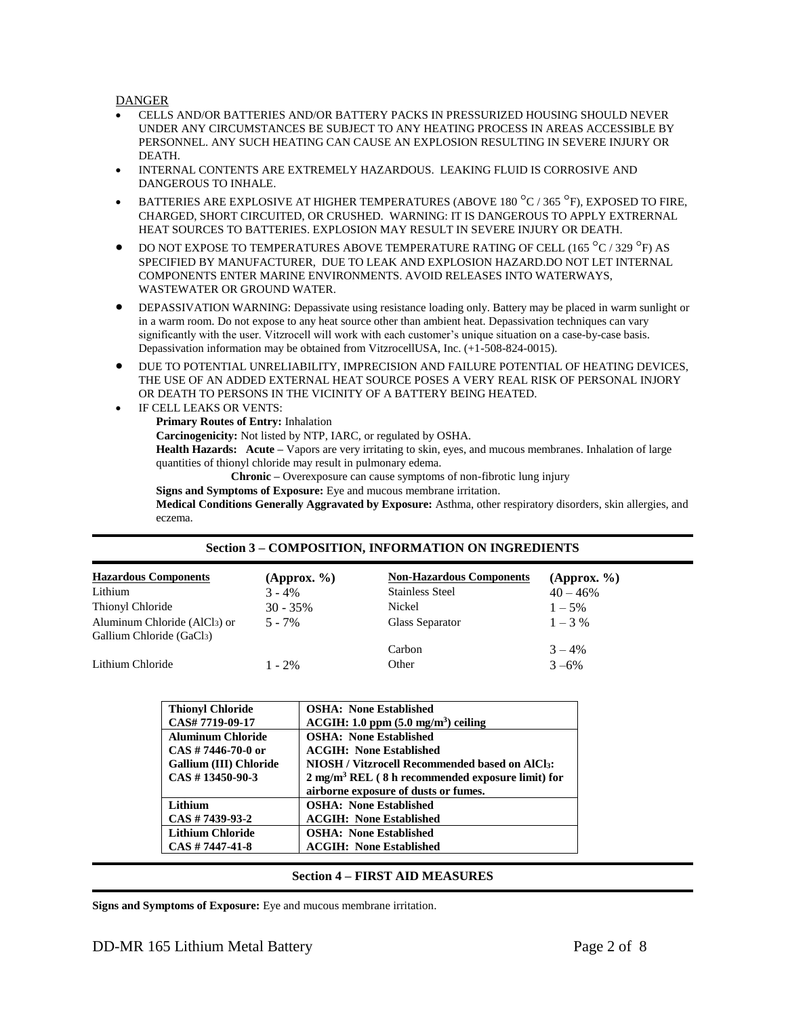## **DANGER**

- CELLS AND/OR BATTERIES AND/OR BATTERY PACKS IN PRESSURIZED HOUSING SHOULD NEVER UNDER ANY CIRCUMSTANCES BE SUBJECT TO ANY HEATING PROCESS IN AREAS ACCESSIBLE BY PERSONNEL. ANY SUCH HEATING CAN CAUSE AN EXPLOSION RESULTING IN SEVERE INJURY OR DEATH.
- INTERNAL CONTENTS ARE EXTREMELY HAZARDOUS. LEAKING FLUID IS CORROSIVE AND DANGEROUS TO INHALE.
- BATTERIES ARE EXPLOSIVE AT HIGHER TEMPERATURES (ABOVE 180 °C / 365 °F), EXPOSED TO FIRE, CHARGED, SHORT CIRCUITED, OR CRUSHED. WARNING: IT IS DANGEROUS TO APPLY EXTRERNAL HEAT SOURCES TO BATTERIES. EXPLOSION MAY RESULT IN SEVERE INJURY OR DEATH.
- $\bullet$  DO NOT EXPOSE TO TEMPERATURES ABOVE TEMPERATURE RATING OF CELL (165  $^{\circ}$ C / 329  $^{\circ}$ F) AS SPECIFIED BY MANUFACTURER, DUE TO LEAK AND EXPLOSION HAZARD.DO NOT LET INTERNAL COMPONENTS ENTER MARINE ENVIRONMENTS. AVOID RELEASES INTO WATERWAYS, WASTEWATER OR GROUND WATER.
- DEPASSIVATION WARNING: Depassivate using resistance loading only. Battery may be placed in warm sunlight or in a warm room. Do not expose to any heat source other than ambient heat. Depassivation techniques can vary significantly with the user. Vitzrocell will work with each customer's unique situation on a case-by-case basis. Depassivation information may be obtained from VitzrocellUSA, Inc. (+1-508-824-0015).
- DUE TO POTENTIAL UNRELIABILITY, IMPRECISION AND FAILURE POTENTIAL OF HEATING DEVICES, THE USE OF AN ADDED EXTERNAL HEAT SOURCE POSES A VERY REAL RISK OF PERSONAL INJORY OR DEATH TO PERSONS IN THE VICINITY OF A BATTERY BEING HEATED.
- IF CELL LEAKS OR VENTS: **Primary Routes of Entry:** Inhalation **Carcinogenicity:** Not listed by NTP, IARC, or regulated by OSHA. **Health Hazards: Acute –** Vapors are very irritating to skin, eyes, and mucous membranes. Inhalation of large quantities of thionyl chloride may result in pulmonary edema. **Chronic –** Overexposure can cause symptoms of non-fibrotic lung injury **Signs and Symptoms of Exposure:** Eye and mucous membrane irritation.

**Medical Conditions Generally Aggravated by Exposure:** Asthma, other respiratory disorders, skin allergies, and eczema.

## **Section 3 – COMPOSITION, INFORMATION ON INGREDIENTS**

| <b>Hazardous Components</b>                                           | (Approx. $\%$ ) | <b>Non-Hazardous Components</b> | (Approx. $\%$ ) |
|-----------------------------------------------------------------------|-----------------|---------------------------------|-----------------|
| Lithium                                                               | $3 - 4\%$       | <b>Stainless Steel</b>          | $40 - 46%$      |
| Thionyl Chloride                                                      | $30 - 35\%$     | Nickel                          | $1 - 5\%$       |
| Aluminum Chloride (AlCl <sub>3</sub> ) or<br>Gallium Chloride (GaCl3) | $5 - 7\%$       | Glass Separator                 | $1 - 3\%$       |
|                                                                       |                 | Carbon                          | $3 - 4\%$       |
| Lithium Chloride                                                      | $1 - 2\%$       | Other                           | $3 - 6\%$       |

| <b>Thionyl Chloride</b>  | <b>OSHA: None Established</b>                                  |
|--------------------------|----------------------------------------------------------------|
| CAS# 7719-09-17          | $ACGIH: 1.0$ ppm $(5.0$ mg/m <sup>3</sup> ) ceiling            |
| <b>Aluminum Chloride</b> | <b>OSHA: None Established</b>                                  |
| $CAS \# 7446-70-0$ or    | <b>ACGIH: None Established</b>                                 |
| Gallium (III) Chloride   | NIOSH / Vitzrocell Recommended based on AlCl <sub>3</sub> :    |
| $CAS \# 13450-90-3$      | $2$ mg/m <sup>3</sup> REL (8 h recommended exposure limit) for |
|                          | airborne exposure of dusts or fumes.                           |
| Lithium                  | <b>OSHA: None Established</b>                                  |
| $CAS \# 7439-93-2$       | <b>ACGIH: None Established</b>                                 |
| <b>Lithium Chloride</b>  | <b>OSHA: None Established</b>                                  |
| $CAS \# 7447 - 41 - 8$   | <b>ACGIH: None Established</b>                                 |

## **Section 4 – FIRST AID MEASURES**

**Signs and Symptoms of Exposure:** Eye and mucous membrane irritation.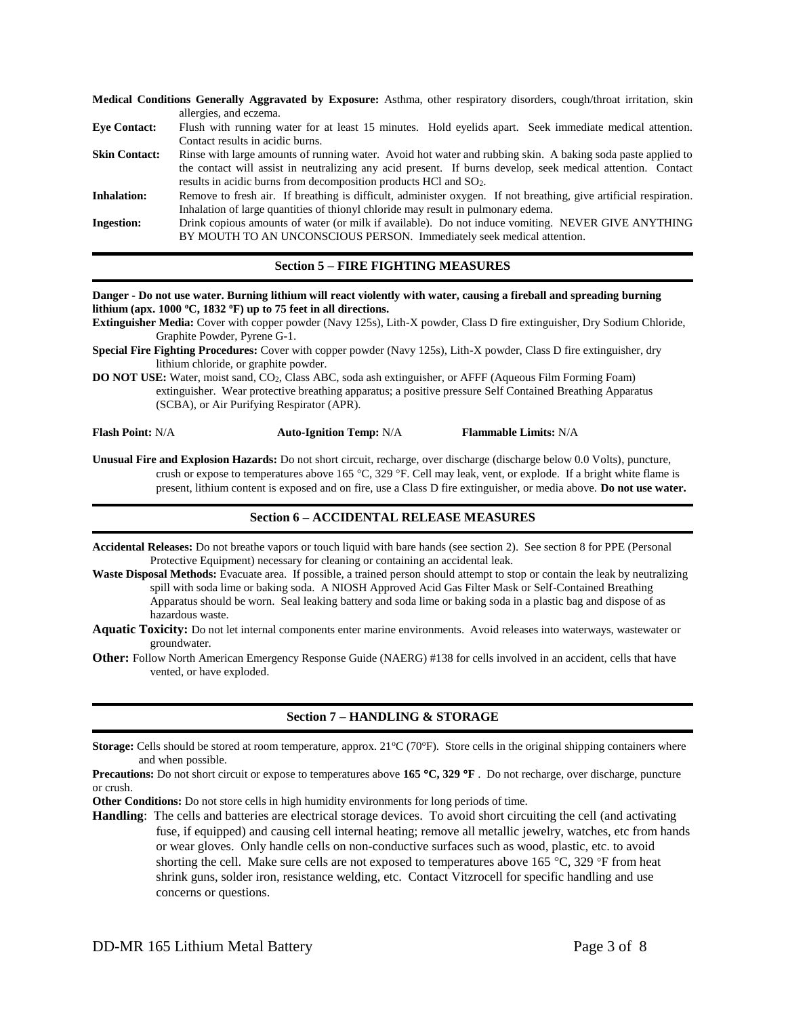**Medical Conditions Generally Aggravated by Exposure:** Asthma, other respiratory disorders, cough/throat irritation, skin allergies, and eczema. **Eye Contact:** Flush with running water for at least 15 minutes. Hold eyelids apart. Seek immediate medical attention. Contact results in acidic burns. **Skin Contact:** Rinse with large amounts of running water. Avoid hot water and rubbing skin. A baking soda paste applied to the contact will assist in neutralizing any acid present. If burns develop, seek medical attention. Contact results in acidic burns from decomposition products HCl and SO2. **Inhalation:** Remove to fresh air. If breathing is difficult, administer oxygen. If not breathing, give artificial respiration. Inhalation of large quantities of thionyl chloride may result in pulmonary edema. **Ingestion:** Drink copious amounts of water (or milk if available). Do not induce vomiting. NEVER GIVE ANYTHING BY MOUTH TO AN UNCONSCIOUS PERSON. Immediately seek medical attention.

## **Section 5 – FIRE FIGHTING MEASURES**

#### **Danger - Do not use water. Burning lithium will react violently with water, causing a fireball and spreading burning lithium (apx. 1000 <sup>o</sup>C, 1832 <sup>o</sup>F) up to 75 feet in all directions.**

**Extinguisher Media:** Cover with copper powder (Navy 125s), Lith-X powder, Class D fire extinguisher, Dry Sodium Chloride, Graphite Powder, Pyrene G-1.

**Special Fire Fighting Procedures:** Cover with copper powder (Navy 125s), Lith-X powder, Class D fire extinguisher, dry lithium chloride, or graphite powder.

**DO NOT USE:** Water, moist sand, CO2, Class ABC, soda ash extinguisher, or AFFF (Aqueous Film Forming Foam) extinguisher. Wear protective breathing apparatus; a positive pressure Self Contained Breathing Apparatus (SCBA), or Air Purifying Respirator (APR).

**Flash Point:** N/A **Auto-Ignition Temp:** N/A **Flammable Limits:** N/A

**Unusual Fire and Explosion Hazards:** Do not short circuit, recharge, over discharge (discharge below 0.0 Volts), puncture, crush or expose to temperatures above 165 °C, 329 °F. Cell may leak, vent, or explode. If a bright white flame is present, lithium content is exposed and on fire, use a Class D fire extinguisher, or media above. **Do not use water.**

## **Section 6 – ACCIDENTAL RELEASE MEASURES**

**Accidental Releases:** Do not breathe vapors or touch liquid with bare hands (see section 2). See section 8 for PPE (Personal Protective Equipment) necessary for cleaning or containing an accidental leak.

**Waste Disposal Methods:** Evacuate area. If possible, a trained person should attempt to stop or contain the leak by neutralizing spill with soda lime or baking soda. A NIOSH Approved Acid Gas Filter Mask or Self-Contained Breathing Apparatus should be worn. Seal leaking battery and soda lime or baking soda in a plastic bag and dispose of as hazardous waste.

**Aquatic Toxicity:** Do not let internal components enter marine environments. Avoid releases into waterways, wastewater or groundwater.

**Other:** Follow North American Emergency Response Guide (NAERG) #138 for cells involved in an accident, cells that have vented, or have exploded.

## **Section 7 – HANDLING & STORAGE**

**Storage:** Cells should be stored at room temperature, approx. 21°C (70°F). Store cells in the original shipping containers where and when possible.

**Precautions:** Do not short circuit or expose to temperatures above **165 C, 329 F** . Do not recharge, over discharge, puncture or crush.

**Other Conditions:** Do not store cells in high humidity environments for long periods of time.

**Handling**: The cells and batteries are electrical storage devices. To avoid short circuiting the cell (and activating fuse, if equipped) and causing cell internal heating; remove all metallic jewelry, watches, etc from hands or wear gloves. Only handle cells on non-conductive surfaces such as wood, plastic, etc. to avoid shorting the cell. Make sure cells are not exposed to temperatures above  $165^{\circ}$ C, 329  $\circ$ F from heat shrink guns, solder iron, resistance welding, etc. Contact Vitzrocell for specific handling and use concerns or questions.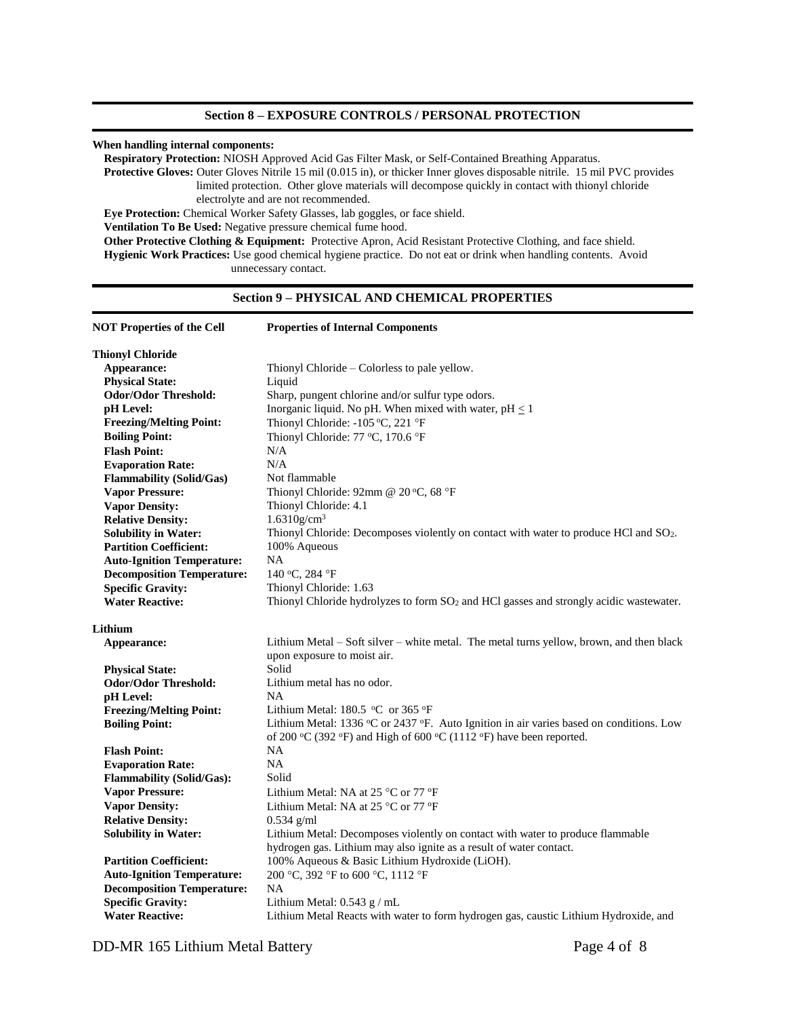#### **When handling internal components:**

**Respiratory Protection:** NIOSH Approved Acid Gas Filter Mask, or Self-Contained Breathing Apparatus.

**Protective Gloves:** Outer Gloves Nitrile 15 mil (0.015 in), or thicker Inner gloves disposable nitrile. 15 mil PVC provides limited protection. Other glove materials will decompose quickly in contact with thionyl chloride electrolyte and are not recommended. **Eye Protection:** Chemical Worker Safety Glasses, lab goggles, or face shield.

**Ventilation To Be Used:** Negative pressure chemical fume hood.

**Other Protective Clothing & Equipment:** Protective Apron, Acid Resistant Protective Clothing, and face shield. **Hygienic Work Practices:** Use good chemical hygiene practice. Do not eat or drink when handling contents. Avoid unnecessary contact.

# **Section 9 – PHYSICAL AND CHEMICAL PROPERTIES**

| <b>NOT Properties of the Cell</b> | <b>Properties of Internal Components</b>                                                           |  |
|-----------------------------------|----------------------------------------------------------------------------------------------------|--|
| <b>Thionyl Chloride</b>           |                                                                                                    |  |
| Appearance:                       | Thionyl Chloride – Colorless to pale yellow.                                                       |  |
| <b>Physical State:</b>            | Liquid                                                                                             |  |
| <b>Odor/Odor Threshold:</b>       | Sharp, pungent chlorine and/or sulfur type odors.                                                  |  |
| pH Level:                         | Inorganic liquid. No pH. When mixed with water, $pH \leq 1$                                        |  |
| <b>Freezing/Melting Point:</b>    | Thionyl Chloride: -105 °C, 221 °F                                                                  |  |
| <b>Boiling Point:</b>             | Thionyl Chloride: 77 °C, 170.6 °F                                                                  |  |
| <b>Flash Point:</b>               | N/A                                                                                                |  |
| <b>Evaporation Rate:</b>          | N/A                                                                                                |  |
| <b>Flammability (Solid/Gas)</b>   | Not flammable                                                                                      |  |
| <b>Vapor Pressure:</b>            | Thionyl Chloride: 92mm @ 20 °C, 68 °F                                                              |  |
| <b>Vapor Density:</b>             | Thionyl Chloride: 4.1                                                                              |  |
| <b>Relative Density:</b>          | $1.6310$ g/cm <sup>3</sup>                                                                         |  |
| <b>Solubility in Water:</b>       | Thionyl Chloride: Decomposes violently on contact with water to produce HCl and SO <sub>2</sub> .  |  |
| <b>Partition Coefficient:</b>     | 100% Aqueous                                                                                       |  |
| <b>Auto-Ignition Temperature:</b> | NA                                                                                                 |  |
| <b>Decomposition Temperature:</b> | 140 °C, 284 °F                                                                                     |  |
| <b>Specific Gravity:</b>          | Thionyl Chloride: 1.63                                                                             |  |
| <b>Water Reactive:</b>            | Thionyl Chloride hydrolyzes to form SO <sub>2</sub> and HCl gasses and strongly acidic wastewater. |  |
| Lithium                           |                                                                                                    |  |
| Appearance:                       | Lithium Metal – Soft silver – white metal. The metal turns yellow, brown, and then black           |  |
|                                   | upon exposure to moist air.                                                                        |  |
| <b>Physical State:</b>            | Solid                                                                                              |  |
| <b>Odor/Odor Threshold:</b>       | Lithium metal has no odor.                                                                         |  |
| pH Level:                         | <b>NA</b>                                                                                          |  |
| <b>Freezing/Melting Point:</b>    | Lithium Metal: 180.5 °C or 365 °F                                                                  |  |
| <b>Boiling Point:</b>             | Lithium Metal: 1336 °C or 2437 °F. Auto Ignition in air varies based on conditions. Low            |  |
|                                   | of 200 °C (392 °F) and High of 600 °C (1112 °F) have been reported.                                |  |
| <b>Flash Point:</b>               | NA.                                                                                                |  |
| <b>Evaporation Rate:</b>          | <b>NA</b>                                                                                          |  |
| <b>Flammability (Solid/Gas):</b>  | Solid                                                                                              |  |
| <b>Vapor Pressure:</b>            | Lithium Metal: NA at 25 $^{\circ}$ C or 77 $^{\circ}$ F                                            |  |
| <b>Vapor Density:</b>             | Lithium Metal: NA at 25 °C or 77 °F                                                                |  |
| <b>Relative Density:</b>          | $0.534$ g/ml                                                                                       |  |
| <b>Solubility in Water:</b>       | Lithium Metal: Decomposes violently on contact with water to produce flammable                     |  |
|                                   | hydrogen gas. Lithium may also ignite as a result of water contact.                                |  |
| <b>Partition Coefficient:</b>     | 100% Aqueous & Basic Lithium Hydroxide (LiOH).                                                     |  |
| <b>Auto-Ignition Temperature:</b> | 200 °C, 392 °F to 600 °C, 1112 °F                                                                  |  |
| <b>Decomposition Temperature:</b> | NA                                                                                                 |  |
| <b>Specific Gravity:</b>          | Lithium Metal: $0.543$ g / mL                                                                      |  |
| <b>Water Reactive:</b>            | Lithium Metal Reacts with water to form hydrogen gas, caustic Lithium Hydroxide, and               |  |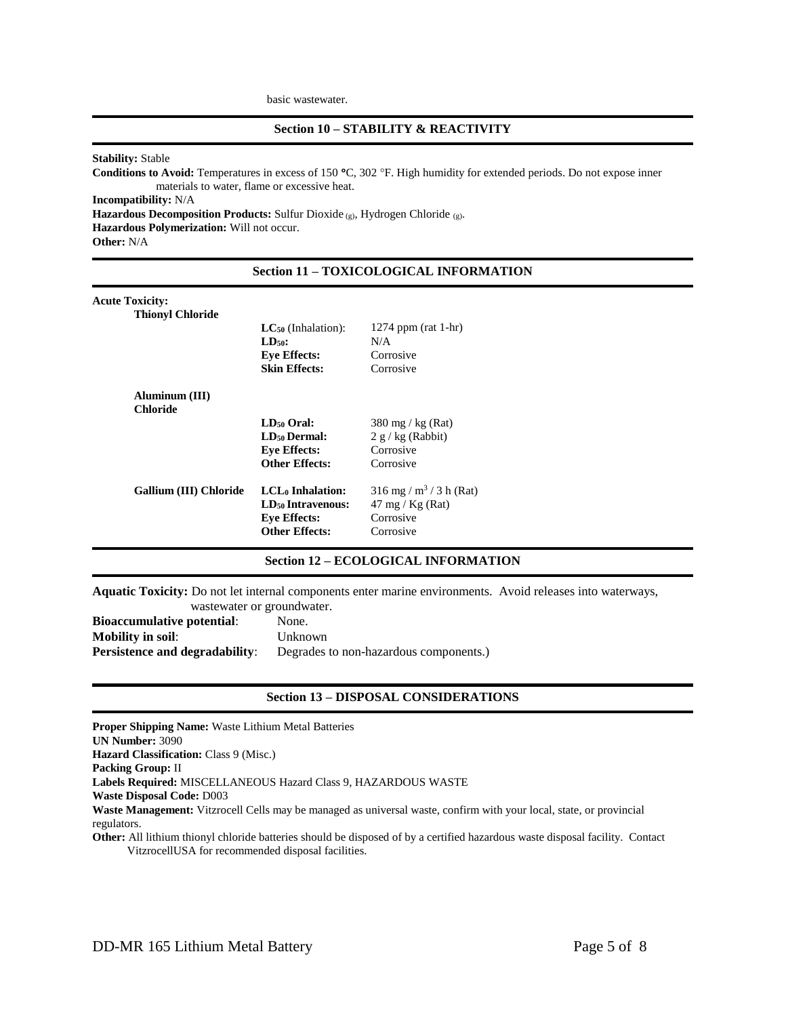basic wastewater.

#### **Stability:** Stable

Conditions to Avoid: Temperatures in excess of 150 °C, 302 °F. High humidity for extended periods. Do not expose inner materials to water, flame or excessive heat.

**Incompatibility:** N/A

**Hazardous Decomposition Products:** Sulfur Dioxide (g), Hydrogen Chloride (g).

**Hazardous Polymerization:** Will not occur.

**Other:** N/A

## **Section 11 – TOXICOLOGICAL INFORMATION**

| <b>Acute Toxicity:</b>  |                               |                                       |
|-------------------------|-------------------------------|---------------------------------------|
| <b>Thionyl Chloride</b> |                               |                                       |
|                         | $LC_{50}$ (Inhalation):       | 1274 ppm (rat 1-hr)                   |
|                         | $LD50$ :                      | N/A                                   |
|                         | <b>Eye Effects:</b>           | Corrosive                             |
|                         | <b>Skin Effects:</b>          | Corrosive                             |
| Aluminum (III)          |                               |                                       |
| <b>Chloride</b>         |                               |                                       |
|                         | LD <sub>50</sub> Oral:        | $380 \text{ mg}$ / kg (Rat)           |
|                         | LD <sub>50</sub> Dermal:      | $2 g/kg$ (Rabbit)                     |
|                         | <b>Eye Effects:</b>           | Corrosive                             |
|                         | <b>Other Effects:</b>         | Corrosive                             |
| Gallium (III) Chloride  | LCL <sub>0</sub> Inhalation:  | $316$ mg / m <sup>3</sup> / 3 h (Rat) |
|                         | LD <sub>50</sub> Intravenous: | $47 \text{ mg} / \text{Kg}$ (Rat)     |
|                         | <b>Eye Effects:</b>           | Corrosive                             |
|                         | <b>Other Effects:</b>         | Corrosive                             |
|                         |                               |                                       |

## **Section 12 – ECOLOGICAL INFORMATION**

**Aquatic Toxicity:** Do not let internal components enter marine environments. Avoid releases into waterways,

| was tewater or ground water.          |                                        |
|---------------------------------------|----------------------------------------|
| <b>Bioaccumulative potential:</b>     | None.                                  |
| <b>Mobility in soil:</b>              | Unknown                                |
| <b>Persistence and degradability:</b> | Degrades to non-hazardous components.) |

## **Section 13 – DISPOSAL CONSIDERATIONS**

**Proper Shipping Name:** Waste Lithium Metal Batteries **UN Number:** 3090 **Hazard Classification: Class 9 (Misc.) Packing Group:** II **Labels Required:** MISCELLANEOUS Hazard Class 9, HAZARDOUS WASTE **Waste Disposal Code:** D003 **Waste Management:** Vitzrocell Cells may be managed as universal waste, confirm with your local, state, or provincial regulators. **Other:** All lithium thionyl chloride batteries should be disposed of by a certified hazardous waste disposal facility. Contact VitzrocellUSA for recommended disposal facilities.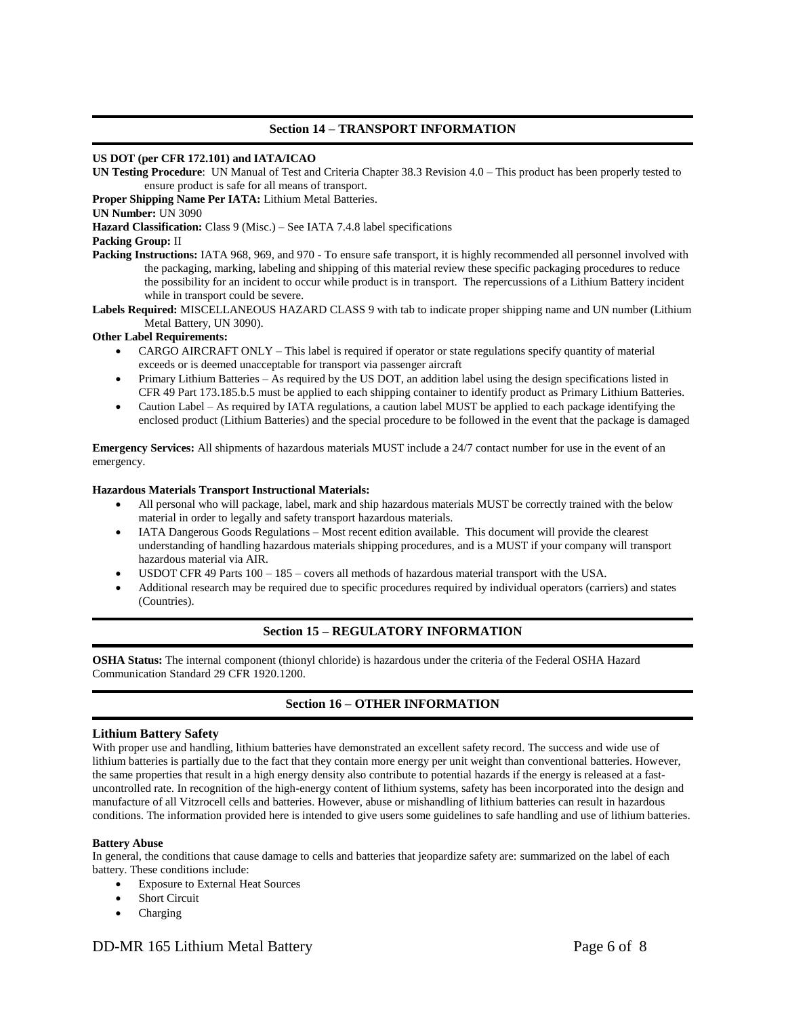## **Section 14 – TRANSPORT INFORMATION**

#### **US DOT (per CFR 172.101) and IATA/ICAO**

**UN Testing Procedure**: UN Manual of Test and Criteria Chapter 38.3 Revision 4.0 – This product has been properly tested to ensure product is safe for all means of transport.

**Proper Shipping Name Per IATA:** Lithium Metal Batteries.

**UN Number:** UN 3090

Hazard Classification: Class 9 (Misc.) – See IATA 7.4.8 label specifications

## **Packing Group:** II

- Packing Instructions: IATA 968, 969, and 970 To ensure safe transport, it is highly recommended all personnel involved with the packaging, marking, labeling and shipping of this material review these specific packaging procedures to reduce the possibility for an incident to occur while product is in transport. The repercussions of a Lithium Battery incident while in transport could be severe.
- **Labels Required:** MISCELLANEOUS HAZARD CLASS 9 with tab to indicate proper shipping name and UN number (Lithium Metal Battery, UN 3090).

#### **Other Label Requirements:**

- CARGO AIRCRAFT ONLY This label is required if operator or state regulations specify quantity of material exceeds or is deemed unacceptable for transport via passenger aircraft
- Primary Lithium Batteries As required by the US DOT, an addition label using the design specifications listed in CFR 49 Part 173.185.b.5 must be applied to each shipping container to identify product as Primary Lithium Batteries.
- Caution Label As required by IATA regulations, a caution label MUST be applied to each package identifying the enclosed product (Lithium Batteries) and the special procedure to be followed in the event that the package is damaged

**Emergency Services:** All shipments of hazardous materials MUST include a 24/7 contact number for use in the event of an emergency.

#### **Hazardous Materials Transport Instructional Materials:**

- All personal who will package, label, mark and ship hazardous materials MUST be correctly trained with the below material in order to legally and safety transport hazardous materials.
- IATA Dangerous Goods Regulations Most recent edition available. This document will provide the clearest understanding of handling hazardous materials shipping procedures, and is a MUST if your company will transport hazardous material via AIR.
- USDOT CFR 49 Parts 100 185 covers all methods of hazardous material transport with the USA.
- Additional research may be required due to specific procedures required by individual operators (carriers) and states (Countries).

## **Section 15 – REGULATORY INFORMATION**

**OSHA Status:** The internal component (thionyl chloride) is hazardous under the criteria of the Federal OSHA Hazard Communication Standard 29 CFR 1920.1200.

# **Section 16 – OTHER INFORMATION**

## **Lithium Battery Safety**

With proper use and handling, lithium batteries have demonstrated an excellent safety record. The success and wide use of lithium batteries is partially due to the fact that they contain more energy per unit weight than conventional batteries. However, the same properties that result in a high energy density also contribute to potential hazards if the energy is released at a fastuncontrolled rate. In recognition of the high-energy content of lithium systems, safety has been incorporated into the design and manufacture of all Vitzrocell cells and batteries. However, abuse or mishandling of lithium batteries can result in hazardous conditions. The information provided here is intended to give users some guidelines to safe handling and use of lithium batteries.

#### **Battery Abuse**

In general, the conditions that cause damage to cells and batteries that jeopardize safety are: summarized on the label of each battery. These conditions include:

- Exposure to External Heat Sources
- Short Circuit
- Charging

# DD-MR 165 Lithium Metal Battery Page 6 of 8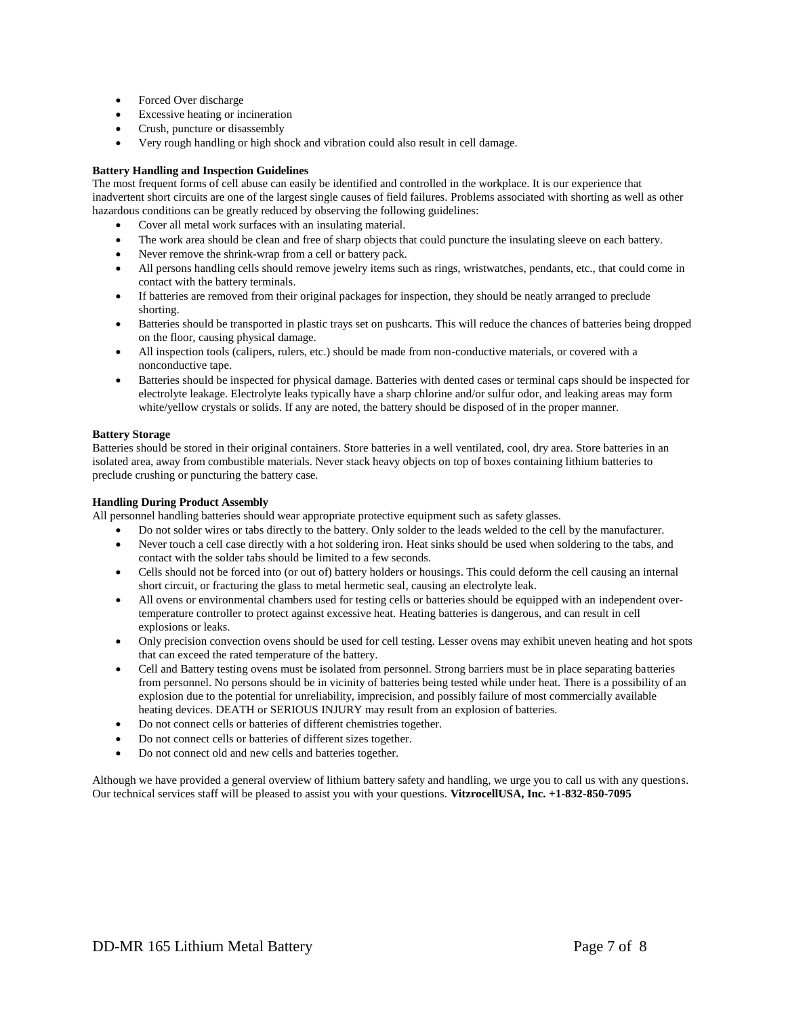- Forced Over discharge
- Excessive heating or incineration
- Crush, puncture or disassembly
- Very rough handling or high shock and vibration could also result in cell damage.

#### **Battery Handling and Inspection Guidelines**

The most frequent forms of cell abuse can easily be identified and controlled in the workplace. It is our experience that inadvertent short circuits are one of the largest single causes of field failures. Problems associated with shorting as well as other hazardous conditions can be greatly reduced by observing the following guidelines:

- Cover all metal work surfaces with an insulating material.
- The work area should be clean and free of sharp objects that could puncture the insulating sleeve on each battery.
- Never remove the shrink-wrap from a cell or battery pack.
- All persons handling cells should remove jewelry items such as rings, wristwatches, pendants, etc., that could come in contact with the battery terminals.
- If batteries are removed from their original packages for inspection, they should be neatly arranged to preclude shorting.
- Batteries should be transported in plastic trays set on pushcarts. This will reduce the chances of batteries being dropped on the floor, causing physical damage.
- All inspection tools (calipers, rulers, etc.) should be made from non-conductive materials, or covered with a nonconductive tape.
- Batteries should be inspected for physical damage. Batteries with dented cases or terminal caps should be inspected for electrolyte leakage. Electrolyte leaks typically have a sharp chlorine and/or sulfur odor, and leaking areas may form white/yellow crystals or solids. If any are noted, the battery should be disposed of in the proper manner.

## **Battery Storage**

Batteries should be stored in their original containers. Store batteries in a well ventilated, cool, dry area. Store batteries in an isolated area, away from combustible materials. Never stack heavy objects on top of boxes containing lithium batteries to preclude crushing or puncturing the battery case.

#### **Handling During Product Assembly**

All personnel handling batteries should wear appropriate protective equipment such as safety glasses.

- Do not solder wires or tabs directly to the battery. Only solder to the leads welded to the cell by the manufacturer.
- Never touch a cell case directly with a hot soldering iron. Heat sinks should be used when soldering to the tabs, and contact with the solder tabs should be limited to a few seconds.
- Cells should not be forced into (or out of) battery holders or housings. This could deform the cell causing an internal short circuit, or fracturing the glass to metal hermetic seal, causing an electrolyte leak.
- All ovens or environmental chambers used for testing cells or batteries should be equipped with an independent overtemperature controller to protect against excessive heat. Heating batteries is dangerous, and can result in cell explosions or leaks.
- Only precision convection ovens should be used for cell testing. Lesser ovens may exhibit uneven heating and hot spots that can exceed the rated temperature of the battery.
- Cell and Battery testing ovens must be isolated from personnel. Strong barriers must be in place separating batteries from personnel. No persons should be in vicinity of batteries being tested while under heat. There is a possibility of an explosion due to the potential for unreliability, imprecision, and possibly failure of most commercially available heating devices. DEATH or SERIOUS INJURY may result from an explosion of batteries.
- Do not connect cells or batteries of different chemistries together.
- Do not connect cells or batteries of different sizes together.
- Do not connect old and new cells and batteries together.

Although we have provided a general overview of lithium battery safety and handling, we urge you to call us with any questions. Our technical services staff will be pleased to assist you with your questions. **VitzrocellUSA, Inc. +1-832-850-7095**